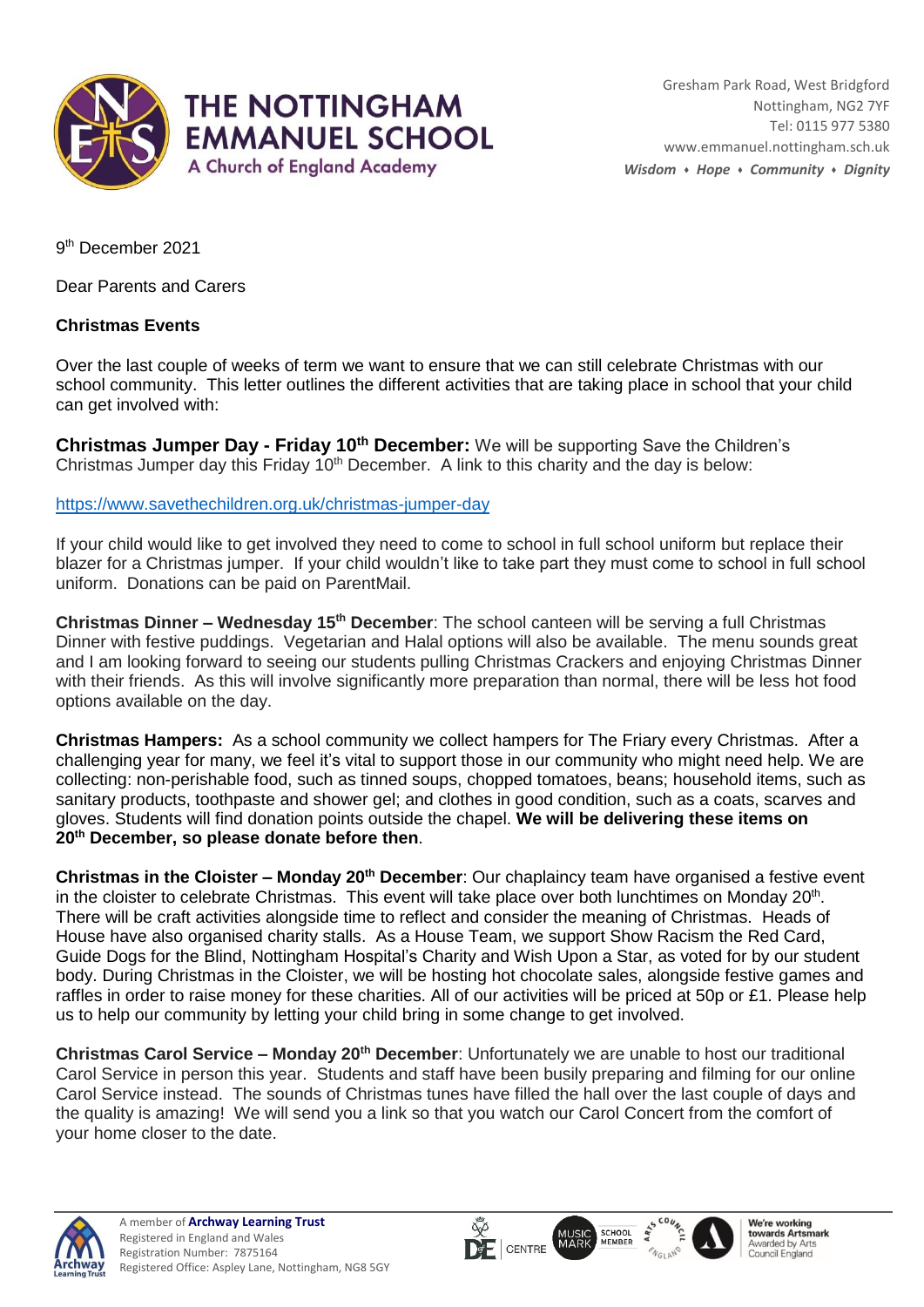

9 th December 2021

Dear Parents and Carers

## **Christmas Events**

Over the last couple of weeks of term we want to ensure that we can still celebrate Christmas with our school community. This letter outlines the different activities that are taking place in school that your child can get involved with:

**Christmas Jumper Day - Friday 10th December:** We will be supporting Save the Children's Christmas Jumper day this Friday  $10<sup>th</sup>$  December. A link to this charity and the day is below:

[https://www.savethechildren.org.uk/christmas-jumper-day](https://gbr01.safelinks.protection.outlook.com/?url=https%3A%2F%2Fwww.savethechildren.org.uk%2Fchristmas-jumper-day&data=04%7C01%7Csstapleton%40emmanuel.nottingham.sch.uk%7C5de18be1f91942669f2108d9ba34e841%7C23990c89ae674afc87ce470c97afeb37%7C0%7C0%7C637745558659961990%7CUnknown%7CTWFpbGZsb3d8eyJWIjoiMC4wLjAwMDAiLCJQIjoiV2luMzIiLCJBTiI6Ik1haWwiLCJXVCI6Mn0%3D%7C3000&sdata=3oITVeZd7U6iITuZ4Nd7uEPvh84d1p%2BONKKb%2FTG%2BMtQ%3D&reserved=0)

If your child would like to get involved they need to come to school in full school uniform but replace their blazer for a Christmas jumper. If your child wouldn't like to take part they must come to school in full school uniform. Donations can be paid on ParentMail.

**Christmas Dinner – Wednesday 15th December**: The school canteen will be serving a full Christmas Dinner with festive puddings. Vegetarian and Halal options will also be available. The menu sounds great and I am looking forward to seeing our students pulling Christmas Crackers and enjoying Christmas Dinner with their friends. As this will involve significantly more preparation than normal, there will be less hot food options available on the day.

**Christmas Hampers:** As a school community we collect hampers for The Friary every Christmas. After a challenging year for many, we feel it's vital to support those in our community who might need help. We are collecting: non-perishable food, such as tinned soups, chopped tomatoes, beans; household items, such as sanitary products, toothpaste and shower gel; and clothes in good condition, such as a coats, scarves and gloves. Students will find donation points outside the chapel. **We will be delivering these items on 20th December, so please donate before then**.

**Christmas in the Cloister – Monday 20th December**: Our chaplaincy team have organised a festive event in the cloister to celebrate Christmas. This event will take place over both lunchtimes on Monday 20<sup>th</sup>. There will be craft activities alongside time to reflect and consider the meaning of Christmas. Heads of House have also organised charity stalls. As a House Team, we support Show Racism the Red Card, Guide Dogs for the Blind, Nottingham Hospital's Charity and Wish Upon a Star, as voted for by our student body. During Christmas in the Cloister, we will be hosting hot chocolate sales, alongside festive games and raffles in order to raise money for these charities. All of our activities will be priced at 50p or £1. Please help us to help our community by letting your child bring in some change to get involved.

**Christmas Carol Service – Monday 20th December**: Unfortunately we are unable to host our traditional Carol Service in person this year. Students and staff have been busily preparing and filming for our online Carol Service instead. The sounds of Christmas tunes have filled the hall over the last couple of days and the quality is amazing! We will send you a link so that you watch our Carol Concert from the comfort of your home closer to the date.

 $\overline{\mathsf{Q}}$